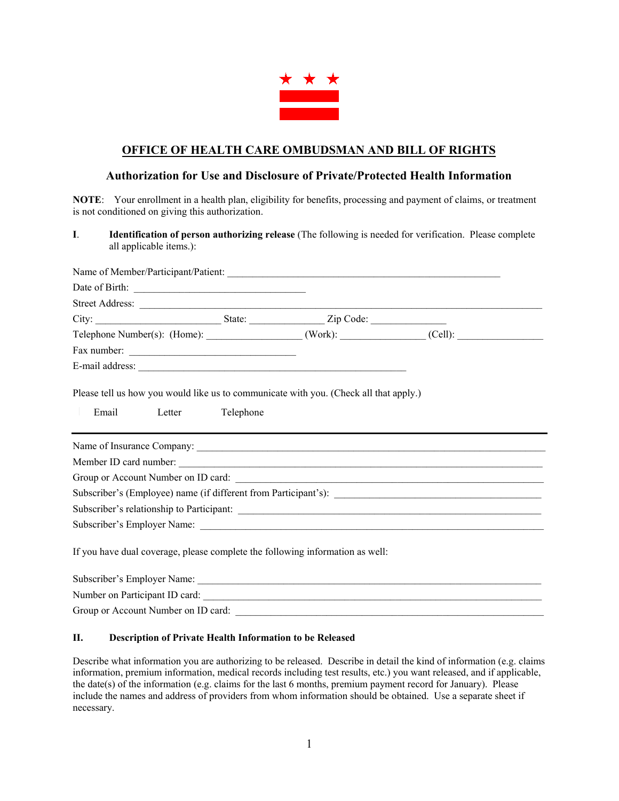

# **OFFICE OF HEALTH CARE OMBUDSMAN AND BILL OF RIGHTS**

# **Authorization for Use and Disclosure of Private/Protected Health Information**

**NOTE**: Your enrollment in a health plan, eligibility for benefits, processing and payment of claims, or treatment is not conditioned on giving this authorization.

**I**. **Identification of person authorizing release** (The following is needed for verification. Please complete all applicable items.):

| Street Address:            |  |  |
|----------------------------|--|--|
|                            |  |  |
|                            |  |  |
| Fax number:                |  |  |
|                            |  |  |
| Name of Insurance Company: |  |  |
|                            |  |  |
| Member ID card number:     |  |  |
|                            |  |  |
|                            |  |  |
|                            |  |  |
|                            |  |  |

| Subscriber's Employer Name:         |  |
|-------------------------------------|--|
| Number on Participant ID card:      |  |
| Group or Account Number on ID card: |  |

#### **II. Description of Private Health Information to be Released**

Describe what information you are authorizing to be released. Describe in detail the kind of information (e.g. claims information, premium information, medical records including test results, etc.) you want released, and if applicable, the date(s) of the information (e.g. claims for the last 6 months, premium payment record for January). Please include the names and address of providers from whom information should be obtained. Use a separate sheet if necessary.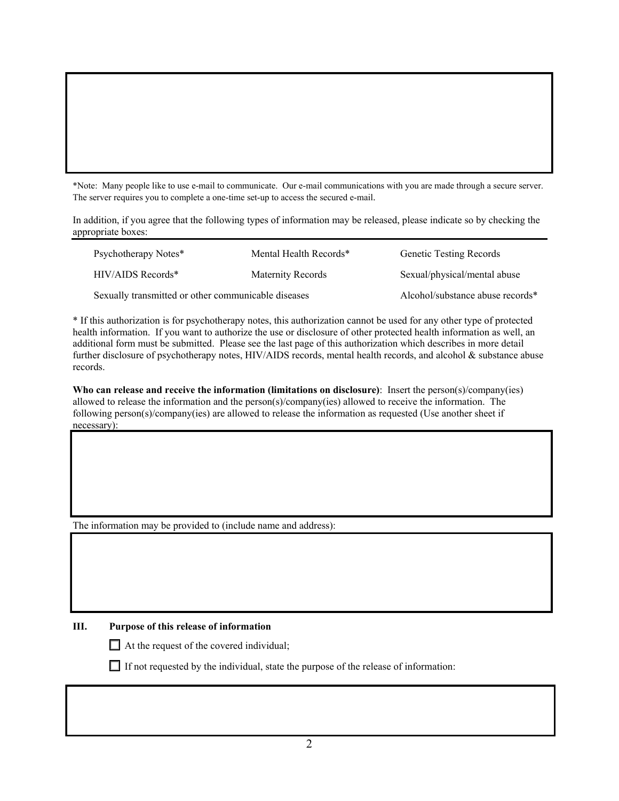\*Note: Many people like to use e-mail to communicate. Our e-mail communications with you are made through a secure server. The server requires you to complete a one-time set-up to access the secured e-mail.

In addition, if you agree that the following types of information may be released, please indicate so by checking the appropriate boxes:

|                                                     | Psychotherapy Notes* | Mental Health Records*           | <b>Genetic Testing Records</b> |  |
|-----------------------------------------------------|----------------------|----------------------------------|--------------------------------|--|
|                                                     | $HIV/AIDS$ Records*  | Maternity Records                | Sexual/physical/mental abuse   |  |
| Sexually transmitted or other communicable diseases |                      | Alcohol/substance abuse records* |                                |  |

\* If this authorization is for psychotherapy notes, this authorization cannot be used for any other type of protected health information. If you want to authorize the use or disclosure of other protected health information as well, an additional form must be submitted. Please see the last page of this authorization which describes in more detail further disclosure of psychotherapy notes, HIV/AIDS records, mental health records, and alcohol & substance abuse records.

**Who can release and receive the information (limitations on disclosure)**: Insert the person(s)/company(ies) allowed to release the information and the person(s)/company(ies) allowed to receive the information. The following person(s)/company(ies) are allowed to release the information as requested (Use another sheet if necessary):

The information may be provided to (include name and address):

# **III. Purpose of this release of information**

 $\Box$  At the request of the covered individual;

 $\Box$  If not requested by the individual, state the purpose of the release of information: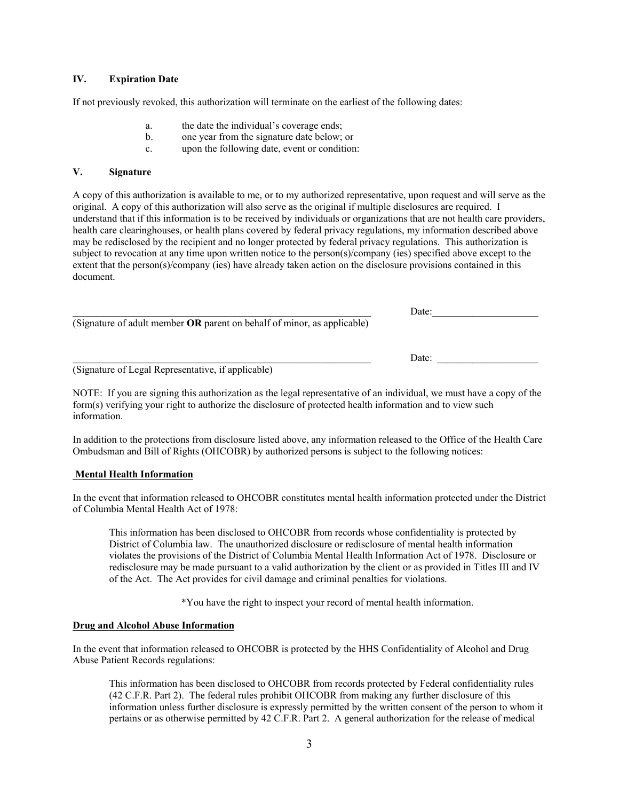#### **IV. Expiration Date**

If not previously revoked, this authorization will terminate on the earliest of the following dates:

- a. the date the individual's coverage ends;
- b. one year from the signature date below; or
- c. upon the following date, event or condition:

#### **V. Signature**

A copy of this authorization is available to me, or to my authorized representative, upon request and will serve as the original. A copy of this authorization will also serve as the original if multiple disclosures are required. I understand that if this information is to be received by individuals or organizations that are not health care providers, health care clearinghouses, or health plans covered by federal privacy regulations, my information described above may be redisclosed by the recipient and no longer protected by federal privacy regulations. This authorization is subject to revocation at any time upon written notice to the person(s)/company (ies) specified above except to the extent that the person(s)/company (ies) have already taken action on the disclosure provisions contained in this document.

|                                                                         | Date: |  |
|-------------------------------------------------------------------------|-------|--|
| (Signature of adult member OR parent on behalf of minor, as applicable) |       |  |
|                                                                         |       |  |
|                                                                         | Date: |  |

(Signature of Legal Representative, if applicable)

NOTE: If you are signing this authorization as the legal representative of an individual, we must have a copy of the form(s) verifying your right to authorize the disclosure of protected health information and to view such information.

In addition to the protections from disclosure listed above, any information released to the Office of the Health Care Ombudsman and Bill of Rights (OHCOBR) by authorized persons is subject to the following notices:

# **Mental Health Information**

In the event that information released to OHCOBR constitutes mental health information protected under the District of Columbia Mental Health Act of 1978:

This information has been disclosed to OHCOBR from records whose confidentiality is protected by District of Columbia law. The unauthorized disclosure or redisclosure of mental health information violates the provisions of the District of Columbia Mental Health Information Act of 1978. Disclosure or redisclosure may be made pursuant to a valid authorization by the client or as provided in Titles III and IV of the Act. The Act provides for civil damage and criminal penalties for violations.

\*You have the right to inspect your record of mental health information.

# **Drug and Alcohol Abuse Information**

In the event that information released to OHCOBR is protected by the HHS Confidentiality of Alcohol and Drug Abuse Patient Records regulations:

This information has been disclosed to OHCOBR from records protected by Federal confidentiality rules (42 C.F.R. Part 2). The federal rules prohibit OHCOBR from making any further disclosure of this information unless further disclosure is expressly permitted by the written consent of the person to whom it pertains or as otherwise permitted by 42 C.F.R. Part 2. A general authorization for the release of medical